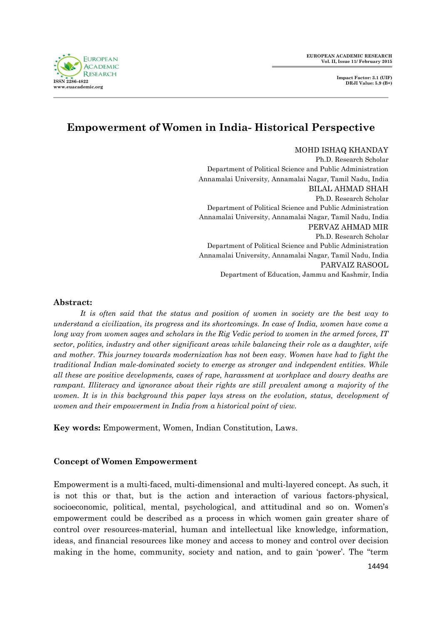

# **Empowerment of Women in India- Historical Perspective**

MOHD ISHAQ KHANDAY Ph.D. Research Scholar Department of Political Science and Public Administration Annamalai University, Annamalai Nagar, Tamil Nadu, India BILAL AHMAD SHAH Ph.D. Research Scholar Department of Political Science and Public Administration Annamalai University, Annamalai Nagar, Tamil Nadu, India PERVAZ AHMAD MIR Ph.D. Research Scholar Department of Political Science and Public Administration Annamalai University, Annamalai Nagar, Tamil Nadu, India PARVAIZ RASOOL Department of Education, Jammu and Kashmir, India

#### **Abstract:**

*It is often said that the status and position of women in society are the best way to understand a civilization, its progress and its shortcomings. In case of India, women have come a long way from women sages and scholars in the Rig Vedic period to women in the armed forces, IT sector, politics, industry and other significant areas while balancing their role as a daughter, wife and mother. This journey towards modernization has not been easy. Women have had to fight the traditional Indian male-dominated society to emerge as stronger and independent entities. While all these are positive developments, cases of rape, harassment at workplace and dowry deaths are rampant. Illiteracy and ignorance about their rights are still prevalent among a majority of the women. It is in this background this paper lays stress on the evolution, status, development of women and their empowerment in India from a historical point of view.*

**Key words:** Empowerment, Women, Indian Constitution, Laws.

### **Concept of Women Empowerment**

Empowerment is a multi-faced, multi-dimensional and multi-layered concept. As such, it is not this or that, but is the action and interaction of various factors-physical, socioeconomic, political, mental, psychological, and attitudinal and so on. Women's empowerment could be described as a process in which women gain greater share of control over resources-material, human and intellectual like knowledge, information, ideas, and financial resources like money and access to money and control over decision making in the home, community, society and nation, and to gain 'power'. The "term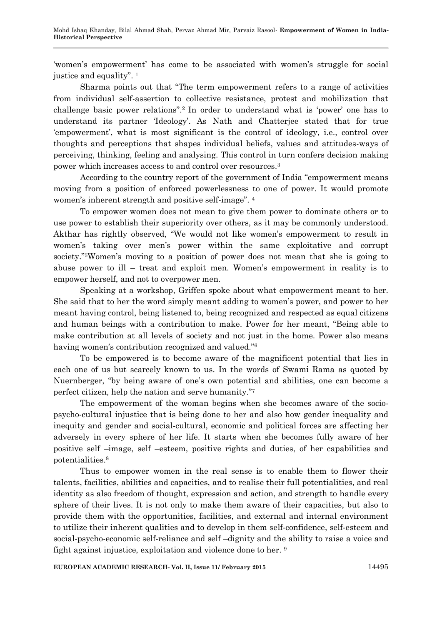‗women's empowerment' has come to be associated with women's struggle for social justice and equality".  $1$ 

Sharma points out that "The term empowerment refers to a range of activities" from individual self-assertion to collective resistance, protest and mobilization that challenge basic power relations".<sup>2</sup> In order to understand what is 'power' one has to understand its partner ‗Ideology'. As Nath and Chatterjee stated that for true ‗empowerment', what is most significant is the control of ideology, i.e., control over thoughts and perceptions that shapes individual beliefs, values and attitudes-ways of perceiving, thinking, feeling and analysing. This control in turn confers decision making power which increases access to and control over resources.<sup>3</sup>

According to the country report of the government of India "empowerment means" moving from a position of enforced powerlessness to one of power. It would promote women's inherent strength and positive self-image". 4

To empower women does not mean to give them power to dominate others or to use power to establish their superiority over others, as it may be commonly understood. Akthar has rightly observed, "We would not like women's empowerment to result in women's taking over men's power within the same exploitative and corrupt society."<sup>5</sup>Women's moving to a position of power does not mean that she is going to abuse power to ill – treat and exploit men. Women's empowerment in reality is to empower herself, and not to overpower men.

Speaking at a workshop, Griffen spoke about what empowerment meant to her. She said that to her the word simply meant adding to women's power, and power to her meant having control, being listened to, being recognized and respected as equal citizens and human beings with a contribution to make. Power for her meant, "Being able to make contribution at all levels of society and not just in the home. Power also means having women's contribution recognized and valued."<sup>6</sup>

To be empowered is to become aware of the magnificent potential that lies in each one of us but scarcely known to us. In the words of Swami Rama as quoted by Nuernberger, "by being aware of one's own potential and abilities, one can become a perfect citizen, help the nation and serve humanity."

The empowerment of the woman begins when she becomes aware of the sociopsycho-cultural injustice that is being done to her and also how gender inequality and inequity and gender and social-cultural, economic and political forces are affecting her adversely in every sphere of her life. It starts when she becomes fully aware of her positive self –image, self –esteem, positive rights and duties, of her capabilities and potentialities.<sup>8</sup>

Thus to empower women in the real sense is to enable them to flower their talents, facilities, abilities and capacities, and to realise their full potentialities, and real identity as also freedom of thought, expression and action, and strength to handle every sphere of their lives. It is not only to make them aware of their capacities, but also to provide them with the opportunities, facilities, and external and internal environment to utilize their inherent qualities and to develop in them self-confidence, self-esteem and social-psycho-economic self-reliance and self –dignity and the ability to raise a voice and fight against injustice, exploitation and violence done to her.<sup>9</sup>

**EUROPEAN ACADEMIC RESEARCH- Vol. II, Issue 11/ February 2015** 14495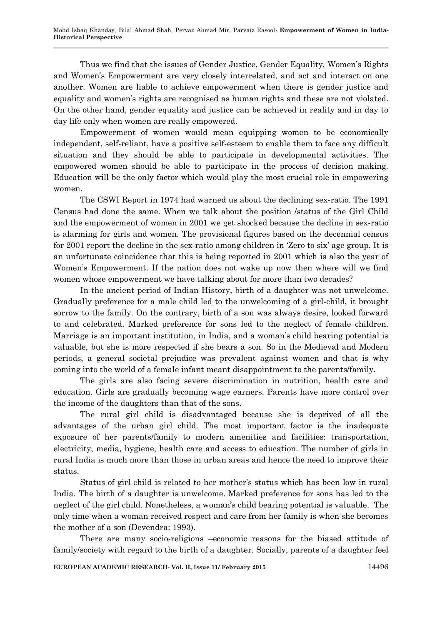Thus we find that the issues of Gender Justice, Gender Equality, Women's Rights and Women's Empowerment are very closely interrelated, and act and interact on one another. Women are liable to achieve empowerment when there is gender justice and equality and women's rights are recognised as human rights and these are not violated. On the other hand, gender equality and justice can be achieved in reality and in day to day life only when women are really empowered.

Empowerment of women would mean equipping women to be economically independent, self-reliant, have a positive self-esteem to enable them to face any difficult situation and they should be able to participate in developmental activities. The empowered women should be able to participate in the process of decision making. Education will be the only factor which would play the most crucial role in empowering women.

The CSWI Report in 1974 had warned us about the declining sex-ratio. The 1991 Census had done the same. When we talk about the position /status of the Girl Child and the empowerment of women in 2001 we get shocked because the decline in sex-ratio is alarming for girls and women. The provisional figures based on the decennial census for 2001 report the decline in the sex-ratio among children in 'Zero to six' age group. It is an unfortunate coincidence that this is being reported in 2001 which is also the year of Women's Empowerment. If the nation does not wake up now then where will we find women whose empowerment we have talking about for more than two decades?

In the ancient period of Indian History, birth of a daughter was not unwelcome. Gradually preference for a male child led to the unwelcoming of a girl-child, it brought sorrow to the family. On the contrary, birth of a son was always desire, looked forward to and celebrated. Marked preference for sons led to the neglect of female children. Marriage is an important institution, in India, and a woman's child bearing potential is valuable, but she is more respected if she bears a son. So in the Medieval and Modern periods, a general societal prejudice was prevalent against women and that is why coming into the world of a female infant meant disappointment to the parents/family.

The girls are also facing severe discrimination in nutrition, health care and education. Girls are gradually becoming wage earners. Parents have more control over the income of the daughters than that of the sons.

The rural girl child is disadvantaged because she is deprived of all the advantages of the urban girl child. The most important factor is the inadequate exposure of her parents/family to modern amenities and facilities: transportation, electricity, media, hygiene, health care and access to education. The number of girls in rural India is much more than those in urban areas and hence the need to improve their status.

Status of girl child is related to her mother's status which has been low in rural India. The birth of a daughter is unwelcome. Marked preference for sons has led to the neglect of the girl child. Nonetheless, a woman's child bearing potential is valuable. The only time when a woman received respect and care from her family is when she becomes the mother of a son (Devendra: 1993).

There are many socio-religions –economic reasons for the biased attitude of family/society with regard to the birth of a daughter. Socially, parents of a daughter feel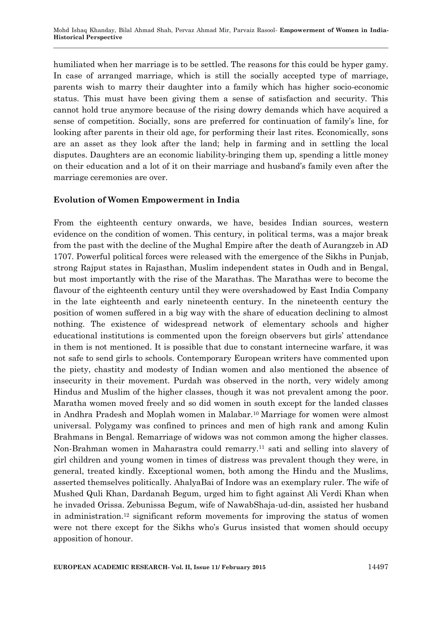humiliated when her marriage is to be settled. The reasons for this could be hyper gamy. In case of arranged marriage, which is still the socially accepted type of marriage, parents wish to marry their daughter into a family which has higher socio-economic status. This must have been giving them a sense of satisfaction and security. This cannot hold true anymore because of the rising dowry demands which have acquired a sense of competition. Socially, sons are preferred for continuation of family's line, for looking after parents in their old age, for performing their last rites. Economically, sons are an asset as they look after the land; help in farming and in settling the local disputes. Daughters are an economic liability-bringing them up, spending a little money on their education and a lot of it on their marriage and husband's family even after the marriage ceremonies are over.

## **Evolution of Women Empowerment in India**

From the eighteenth century onwards, we have, besides Indian sources, western evidence on the condition of women. This century, in political terms, was a major break from the past with the decline of the Mughal Empire after the death of Aurangzeb in AD 1707. Powerful political forces were released with the emergence of the Sikhs in Punjab, strong Rajput states in Rajasthan, Muslim independent states in Oudh and in Bengal, but most importantly with the rise of the Marathas. The Marathas were to become the flavour of the eighteenth century until they were overshadowed by East India Company in the late eighteenth and early nineteenth century. In the nineteenth century the position of women suffered in a big way with the share of education declining to almost nothing. The existence of widespread network of elementary schools and higher educational institutions is commented upon the foreign observers but girls' attendance in them is not mentioned. It is possible that due to constant internecine warfare, it was not safe to send girls to schools. Contemporary European writers have commented upon the piety, chastity and modesty of Indian women and also mentioned the absence of insecurity in their movement. Purdah was observed in the north, very widely among Hindus and Muslim of the higher classes, though it was not prevalent among the poor. Maratha women moved freely and so did women in south except for the landed classes in Andhra Pradesh and Moplah women in Malabar.10 Marriage for women were almost universal. Polygamy was confined to princes and men of high rank and among Kulin Brahmans in Bengal. Remarriage of widows was not common among the higher classes. Non-Brahman women in Maharastra could remarry.<sup>11</sup> sati and selling into slavery of girl children and young women in times of distress was prevalent though they were, in general, treated kindly. Exceptional women, both among the Hindu and the Muslims, asserted themselves politically. AhalyaBai of Indore was an exemplary ruler. The wife of Mushed Quli Khan, Dardanah Begum, urged him to fight against Ali Verdi Khan when he invaded Orissa. Zebunissa Begum, wife of NawabShaja-ud-din, assisted her husband in administration.<sup>12</sup> significant reform movements for improving the status of women were not there except for the Sikhs who's Gurus insisted that women should occupy apposition of honour.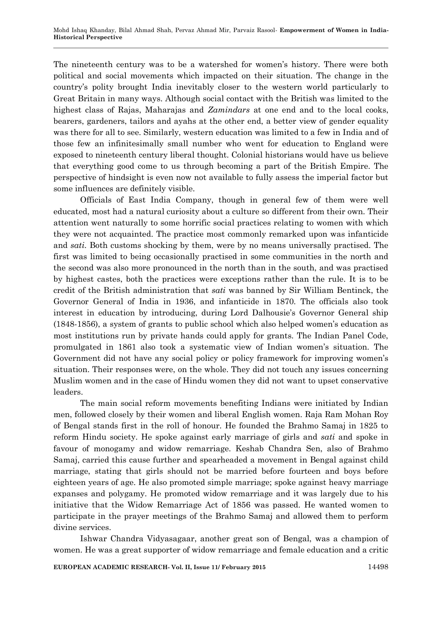The nineteenth century was to be a watershed for women's history. There were both political and social movements which impacted on their situation. The change in the country's polity brought India inevitably closer to the western world particularly to Great Britain in many ways. Although social contact with the British was limited to the highest class of Rajas, Maharajas and *Zamindars* at one end and to the local cooks, bearers, gardeners, tailors and ayahs at the other end, a better view of gender equality was there for all to see. Similarly, western education was limited to a few in India and of those few an infinitesimally small number who went for education to England were exposed to nineteenth century liberal thought. Colonial historians would have us believe that everything good come to us through becoming a part of the British Empire. The perspective of hindsight is even now not available to fully assess the imperial factor but some influences are definitely visible.

Officials of East India Company, though in general few of them were well educated, most had a natural curiosity about a culture so different from their own. Their attention went naturally to some horrific social practices relating to women with which they were not acquainted. The practice most commonly remarked upon was infanticide and *sati*. Both customs shocking by them, were by no means universally practised. The first was limited to being occasionally practised in some communities in the north and the second was also more pronounced in the north than in the south, and was practised by highest castes, both the practices were exceptions rather than the rule. It is to be credit of the British administration that *sati* was banned by Sir William Bentinck, the Governor General of India in 1936, and infanticide in 1870. The officials also took interest in education by introducing, during Lord Dalhousie's Governor General ship (1848-1856), a system of grants to public school which also helped women's education as most institutions run by private hands could apply for grants. The Indian Panel Code, promulgated in 1861 also took a systematic view of Indian women's situation. The Government did not have any social policy or policy framework for improving women's situation. Their responses were, on the whole. They did not touch any issues concerning Muslim women and in the case of Hindu women they did not want to upset conservative leaders.

The main social reform movements benefiting Indians were initiated by Indian men, followed closely by their women and liberal English women. Raja Ram Mohan Roy of Bengal stands first in the roll of honour. He founded the Brahmo Samaj in 1825 to reform Hindu society. He spoke against early marriage of girls and *sati* and spoke in favour of monogamy and widow remarriage. Keshab Chandra Sen, also of Brahmo Samaj, carried this cause further and spearheaded a movement in Bengal against child marriage, stating that girls should not be married before fourteen and boys before eighteen years of age. He also promoted simple marriage; spoke against heavy marriage expanses and polygamy. He promoted widow remarriage and it was largely due to his initiative that the Widow Remarriage Act of 1856 was passed. He wanted women to participate in the prayer meetings of the Brahmo Samaj and allowed them to perform divine services.

Ishwar Chandra Vidyasagaar, another great son of Bengal, was a champion of women. He was a great supporter of widow remarriage and female education and a critic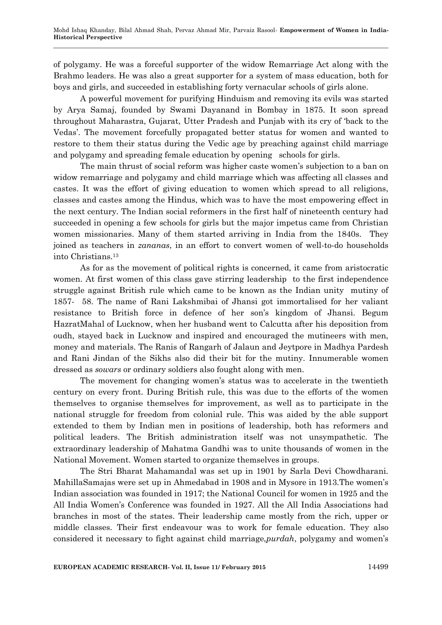of polygamy. He was a forceful supporter of the widow Remarriage Act along with the Brahmo leaders. He was also a great supporter for a system of mass education, both for boys and girls, and succeeded in establishing forty vernacular schools of girls alone.

A powerful movement for purifying Hinduism and removing its evils was started by Arya Samaj, founded by Swami Dayanand in Bombay in 1875. It soon spread throughout Maharastra, Gujarat, Utter Pradesh and Punjab with its cry of 'back to the Vedas'. The movement forcefully propagated better status for women and wanted to restore to them their status during the Vedic age by preaching against child marriage and polygamy and spreading female education by opening schools for girls.

The main thrust of social reform was higher caste women's subjection to a ban on widow remarriage and polygamy and child marriage which was affecting all classes and castes. It was the effort of giving education to women which spread to all religions, classes and castes among the Hindus, which was to have the most empowering effect in the next century. The Indian social reformers in the first half of nineteenth century had succeeded in opening a few schools for girls but the major impetus came from Christian women missionaries. Many of them started arriving in India from the 1840s. They joined as teachers in *zananas*, in an effort to convert women of well-to-do households into Christians.<sup>13</sup>

As for as the movement of political rights is concerned, it came from aristocratic women. At first women of this class gave stirring leadership to the first independence struggle against British rule which came to be known as the Indian unity mutiny of 1857- 58. The name of Rani Lakshmibai of Jhansi got immortalised for her valiant resistance to British force in defence of her son's kingdom of Jhansi. Begum HazratMahal of Lucknow, when her husband went to Calcutta after his deposition from oudh, stayed back in Lucknow and inspired and encouraged the mutineers with men, money and materials. The Ranis of Rangarh of Jalaun and Jeytpore in Madhya Pardesh and Rani Jindan of the Sikhs also did their bit for the mutiny. Innumerable women dressed as *sowars* or ordinary soldiers also fought along with men.

The movement for changing women's status was to accelerate in the twentieth century on every front. During British rule, this was due to the efforts of the women themselves to organise themselves for improvement, as well as to participate in the national struggle for freedom from colonial rule. This was aided by the able support extended to them by Indian men in positions of leadership, both has reformers and political leaders. The British administration itself was not unsympathetic. The extraordinary leadership of Mahatma Gandhi was to unite thousands of women in the National Movement. Women started to organize themselves in groups.

The Stri Bharat Mahamandal was set up in 1901 by Sarla Devi Chowdharani. MahillaSamajas were set up in Ahmedabad in 1908 and in Mysore in 1913.The women's Indian association was founded in 1917; the National Council for women in 1925 and the All India Women's Conference was founded in 1927. All the All India Associations had branches in most of the states. Their leadership came mostly from the rich, upper or middle classes. Their first endeavour was to work for female education. They also considered it necessary to fight against child marriage,*purdah*, polygamy and women's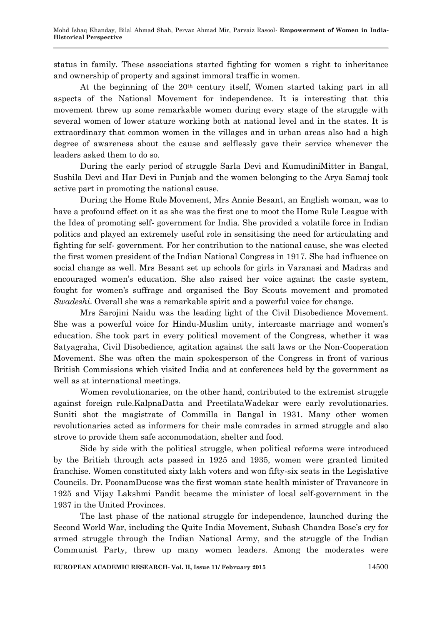status in family. These associations started fighting for women s right to inheritance and ownership of property and against immoral traffic in women.

At the beginning of the  $20<sup>th</sup>$  century itself, Women started taking part in all aspects of the National Movement for independence. It is interesting that this movement threw up some remarkable women during every stage of the struggle with several women of lower stature working both at national level and in the states. It is extraordinary that common women in the villages and in urban areas also had a high degree of awareness about the cause and selflessly gave their service whenever the leaders asked them to do so.

During the early period of struggle Sarla Devi and KumudiniMitter in Bangal, Sushila Devi and Har Devi in Punjab and the women belonging to the Arya Samaj took active part in promoting the national cause.

During the Home Rule Movement, Mrs Annie Besant, an English woman, was to have a profound effect on it as she was the first one to moot the Home Rule League with the Idea of promoting self- government for India. She provided a volatile force in Indian politics and played an extremely useful role in sensitising the need for articulating and fighting for self- government. For her contribution to the national cause, she was elected the first women president of the Indian National Congress in 1917. She had influence on social change as well. Mrs Besant set up schools for girls in Varanasi and Madras and encouraged women's education. She also raised her voice against the caste system, fought for women's suffrage and organised the Boy Scouts movement and promoted *Swadeshi*. Overall she was a remarkable spirit and a powerful voice for change.

Mrs Sarojini Naidu was the leading light of the Civil Disobedience Movement. She was a powerful voice for Hindu-Muslim unity, intercaste marriage and women's education. She took part in every political movement of the Congress, whether it was Satyagraha, Civil Disobedience, agitation against the salt laws or the Non-Cooperation Movement. She was often the main spokesperson of the Congress in front of various British Commissions which visited India and at conferences held by the government as well as at international meetings.

Women revolutionaries, on the other hand, contributed to the extremist struggle against foreign rule.KalpnaDatta and PreetilataWadekar were early revolutionaries. Suniti shot the magistrate of Commilla in Bangal in 1931. Many other women revolutionaries acted as informers for their male comrades in armed struggle and also strove to provide them safe accommodation, shelter and food.

Side by side with the political struggle, when political reforms were introduced by the British through acts passed in 1925 and 1935, women were granted limited franchise. Women constituted sixty lakh voters and won fifty-six seats in the Legislative Councils. Dr. PoonamDucose was the first woman state health minister of Travancore in 1925 and Vijay Lakshmi Pandit became the minister of local self-government in the 1937 in the United Provinces.

The last phase of the national struggle for independence, launched during the Second World War, including the Quite India Movement, Subash Chandra Bose's cry for armed struggle through the Indian National Army, and the struggle of the Indian Communist Party, threw up many women leaders. Among the moderates were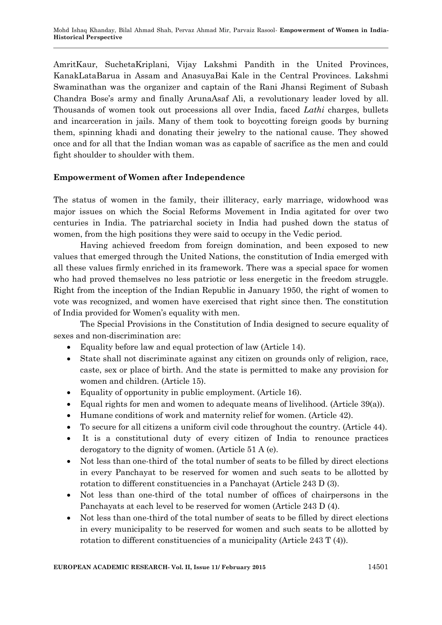AmritKaur, SuchetaKriplani, Vijay Lakshmi Pandith in the United Provinces, KanakLataBarua in Assam and AnasuyaBai Kale in the Central Provinces. Lakshmi Swaminathan was the organizer and captain of the Rani Jhansi Regiment of Subash Chandra Bose's army and finally ArunaAsaf Ali, a revolutionary leader loved by all. Thousands of women took out processions all over India, faced *Lathi* charges, bullets and incarceration in jails. Many of them took to boycotting foreign goods by burning them, spinning khadi and donating their jewelry to the national cause. They showed once and for all that the Indian woman was as capable of sacrifice as the men and could fight shoulder to shoulder with them.

## **Empowerment of Women after Independence**

The status of women in the family, their illiteracy, early marriage, widowhood was major issues on which the Social Reforms Movement in India agitated for over two centuries in India. The patriarchal society in India had pushed down the status of women, from the high positions they were said to occupy in the Vedic period.

Having achieved freedom from foreign domination, and been exposed to new values that emerged through the United Nations, the constitution of India emerged with all these values firmly enriched in its framework. There was a special space for women who had proved themselves no less patriotic or less energetic in the freedom struggle. Right from the inception of the Indian Republic in January 1950, the right of women to vote was recognized, and women have exercised that right since then. The constitution of India provided for Women's equality with men.

The Special Provisions in the Constitution of India designed to secure equality of sexes and non-discrimination are:

- Equality before law and equal protection of law (Article 14).
- State shall not discriminate against any citizen on grounds only of religion, race, caste, sex or place of birth. And the state is permitted to make any provision for women and children. (Article 15).
- Equality of opportunity in public employment. (Article 16).
- Equal rights for men and women to adequate means of livelihood. (Article 39(a)).
- Humane conditions of work and maternity relief for women. (Article 42).
- To secure for all citizens a uniform civil code throughout the country. (Article 44).
- It is a constitutional duty of every citizen of India to renounce practices derogatory to the dignity of women. (Article 51 A (e).
- Not less than one-third of the total number of seats to be filled by direct elections in every Panchayat to be reserved for women and such seats to be allotted by rotation to different constituencies in a Panchayat (Article 243 D (3).
- Not less than one-third of the total number of offices of chairpersons in the Panchayats at each level to be reserved for women (Article 243 D (4).
- Not less than one-third of the total number of seats to be filled by direct elections in every municipality to be reserved for women and such seats to be allotted by rotation to different constituencies of a municipality (Article 243 T (4)).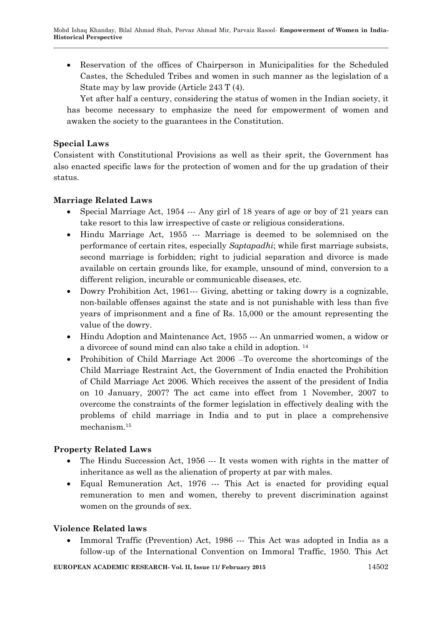Reservation of the offices of Chairperson in Municipalities for the Scheduled Castes, the Scheduled Tribes and women in such manner as the legislation of a State may by law provide (Article 243 T (4).

Yet after half a century, considering the status of women in the Indian society, it has become necessary to emphasize the need for empowerment of women and awaken the society to the guarantees in the Constitution.

# **Special Laws**

Consistent with Constitutional Provisions as well as their sprit, the Government has also enacted specific laws for the protection of women and for the up gradation of their status.

## **Marriage Related Laws**

- Special Marriage Act, 1954 --- Any girl of 18 years of age or boy of 21 years can take resort to this law irrespective of caste or religious considerations.
- Hindu Marriage Act, 1955 --- Marriage is deemed to be solemnised on the performance of certain rites, especially *Saptapadhi*; while first marriage subsists, second marriage is forbidden; right to judicial separation and divorce is made available on certain grounds like, for example, unsound of mind, conversion to a different religion, incurable or communicable diseases, etc.
- Dowry Prohibition Act, 1961--- Giving, abetting or taking dowry is a cognizable, non-bailable offenses against the state and is not punishable with less than five years of imprisonment and a fine of Rs. 15,000 or the amount representing the value of the dowry.
- Hindu Adoption and Maintenance Act, 1955 --- An unmarried women, a widow or a divorcee of sound mind can also take a child in adoption. 14
- Prohibition of Child Marriage Act 2006 To overcome the shortcomings of the Child Marriage Restraint Act, the Government of India enacted the Prohibition of Child Marriage Act 2006. Which receives the assent of the president of India on 10 January, 2007? The act came into effect from 1 November, 2007 to overcome the constraints of the former legislation in effectively dealing with the problems of child marriage in India and to put in place a comprehensive mechanism.<sup>15</sup>

# **Property Related Laws**

- The Hindu Succession Act, 1956 --- It vests women with rights in the matter of inheritance as well as the alienation of property at par with males.
- Equal Remuneration Act, 1976 --- This Act is enacted for providing equal remuneration to men and women, thereby to prevent discrimination against women on the grounds of sex.

### **Violence Related laws**

 Immoral Traffic (Prevention) Act, 1986 --- This Act was adopted in India as a follow-up of the International Convention on Immoral Traffic, 1950. This Act

**EUROPEAN ACADEMIC RESEARCH- Vol. II, Issue 11/ February 2015** 14502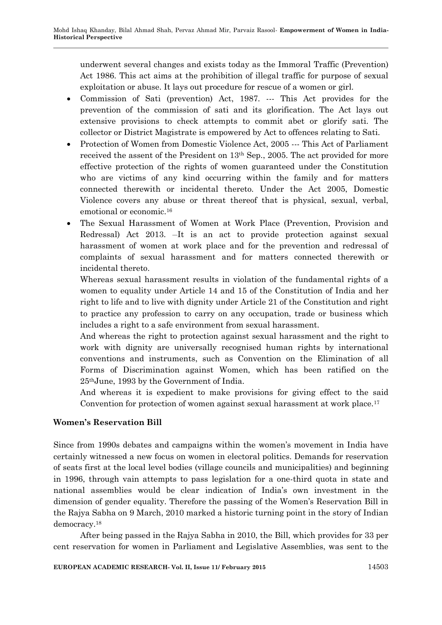underwent several changes and exists today as the Immoral Traffic (Prevention) Act 1986. This act aims at the prohibition of illegal traffic for purpose of sexual exploitation or abuse. It lays out procedure for rescue of a women or girl.

- Commission of Sati (prevention) Act, 1987. --- This Act provides for the prevention of the commission of sati and its glorification. The Act lays out extensive provisions to check attempts to commit abet or glorify sati. The collector or District Magistrate is empowered by Act to offences relating to Sati.
- Protection of Women from Domestic Violence Act, 2005 --- This Act of Parliament received the assent of the President on 13th Sep., 2005. The act provided for more effective protection of the rights of women guaranteed under the Constitution who are victims of any kind occurring within the family and for matters connected therewith or incidental thereto. Under the Act 2005, Domestic Violence covers any abuse or threat thereof that is physical, sexual, verbal, emotional or economic.<sup>16</sup>
- The Sexual Harassment of Women at Work Place (Prevention, Provision and Redressal) Act 2013.  $\overline{-1}t$  is an act to provide protection against sexual harassment of women at work place and for the prevention and redressal of complaints of sexual harassment and for matters connected therewith or incidental thereto.

Whereas sexual harassment results in violation of the fundamental rights of a women to equality under Article 14 and 15 of the Constitution of India and her right to life and to live with dignity under Article 21 of the Constitution and right to practice any profession to carry on any occupation, trade or business which includes a right to a safe environment from sexual harassment.

And whereas the right to protection against sexual harassment and the right to work with dignity are universally recognised human rights by international conventions and instruments, such as Convention on the Elimination of all Forms of Discrimination against Women, which has been ratified on the 25thJune, 1993 by the Government of India.

And whereas it is expedient to make provisions for giving effect to the said Convention for protection of women against sexual harassment at work place.<sup>17</sup>

# **Women's Reservation Bill**

Since from 1990s debates and campaigns within the women's movement in India have certainly witnessed a new focus on women in electoral politics. Demands for reservation of seats first at the local level bodies (village councils and municipalities) and beginning in 1996, through vain attempts to pass legislation for a one-third quota in state and national assemblies would be clear indication of India's own investment in the dimension of gender equality. Therefore the passing of the Women's Reservation Bill in the Rajya Sabha on 9 March, 2010 marked a historic turning point in the story of Indian democracy.<sup>18</sup>

After being passed in the Rajya Sabha in 2010, the Bill, which provides for 33 per cent reservation for women in Parliament and Legislative Assemblies, was sent to the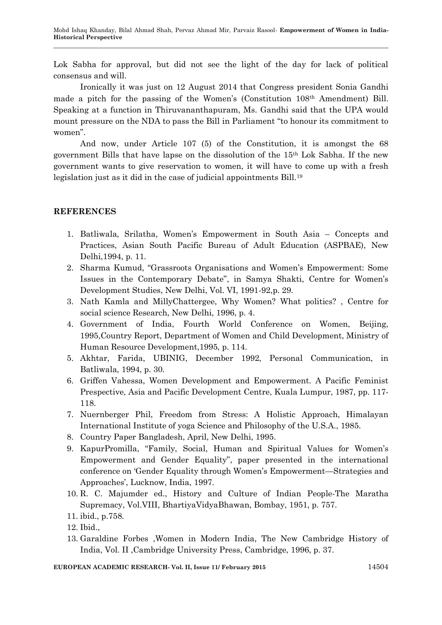Lok Sabha for approval, but did not see the light of the day for lack of political consensus and will.

Ironically it was just on 12 August 2014 that Congress president Sonia Gandhi made a pitch for the passing of the Women's (Constitution 108th Amendment) Bill. Speaking at a function in Thiruvananthapuram, Ms. Gandhi said that the UPA would mount pressure on the NDA to pass the Bill in Parliament "to honour its commitment to women".

And now, under Article 107 (5) of the Constitution, it is amongst the 68 government Bills that have lapse on the dissolution of the 15th Lok Sabha. If the new government wants to give reservation to women, it will have to come up with a fresh legislation just as it did in the case of judicial appointments Bill.<sup>19</sup>

### **REFERENCES**

- 1. Batliwala, Srilatha, Women's Empowerment in South Asia Concepts and Practices, Asian South Pacific Bureau of Adult Education (ASPBAE), New Delhi,1994, p. 11.
- 2. Sharma Kumud, "Grassroots Organisations and Women's Empowerment: Some Issues in the Contemporary Debate", in Samya Shakti, Centre for Women's Development Studies, New Delhi, Vol. VI, 1991-92,p. 29.
- 3. Nath Kamla and MillyChattergee, Why Women? What politics? , Centre for social science Research, New Delhi, 1996, p. 4.
- 4. Government of India, Fourth World Conference on Women, Beijing, 1995,Country Report, Department of Women and Child Development, Ministry of Human Resource Development,1995, p. 114.
- 5. Akhtar, Farida, UBINIG, December 1992, Personal Communication, in Batliwala, 1994, p. 30.
- 6. Griffen Vahessa, Women Development and Empowerment. A Pacific Feminist Prespective, Asia and Pacific Development Centre, Kuala Lumpur, 1987, pp. 117- 118.
- 7. Nuernberger Phil, Freedom from Stress: A Holistic Approach, Himalayan International Institute of yoga Science and Philosophy of the U.S.A., 1985.
- 8. Country Paper Bangladesh, April, New Delhi, 1995.
- 9. KapurPromilla, "Family, Social, Human and Spiritual Values for Women's Empowerment and Gender Equality", paper presented in the international conference on 'Gender Equality through Women's Empowerment—Strategies and Approaches', Lucknow, India, 1997.
- 10. R. C. Majumder ed., History and Culture of Indian People-The Maratha Supremacy, Vol.VIII, BhartiyaVidyaBhawan, Bombay, 1951, p. 757.
- 11. ibid., p.758.
- 12. Ibid.,
- 13. Garaldine Forbes ,Women in Modern India, The New Cambridge History of India, Vol. II ,Cambridge University Press, Cambridge, 1996, p. 37.